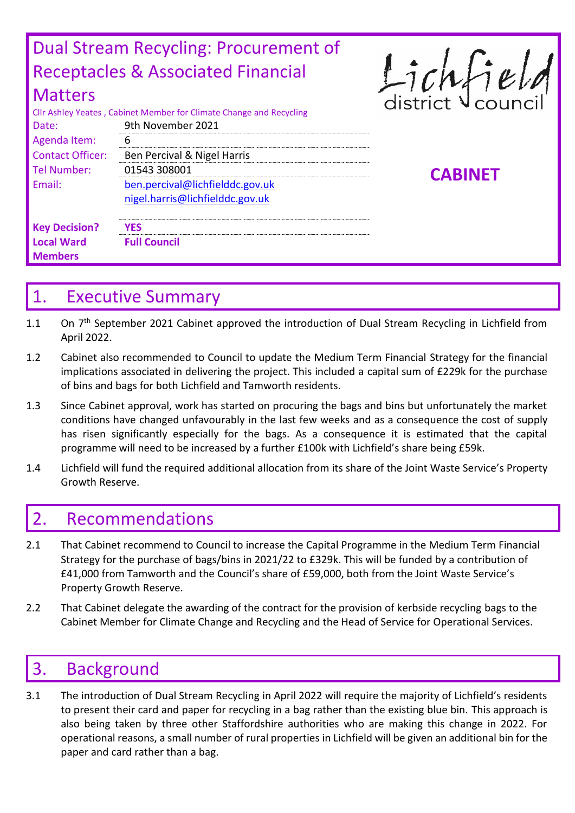| Dual Stream Recycling: Procurement of |                                                                     |                |  |  |  |  |  |
|---------------------------------------|---------------------------------------------------------------------|----------------|--|--|--|--|--|
|                                       | <b>Receptacles &amp; Associated Financial</b>                       |                |  |  |  |  |  |
| <b>Matters</b>                        | Cllr Ashley Yeates, Cabinet Member for Climate Change and Recycling | Lichfield      |  |  |  |  |  |
| Date:                                 | 9th November 2021                                                   |                |  |  |  |  |  |
| Agenda Item:                          | 6                                                                   |                |  |  |  |  |  |
| <b>Contact Officer:</b>               | Ben Percival & Nigel Harris                                         |                |  |  |  |  |  |
| <b>Tel Number:</b>                    | 01543 308001                                                        | <b>CABINET</b> |  |  |  |  |  |
| Email:                                | ben.percival@lichfielddc.gov.uk                                     |                |  |  |  |  |  |
|                                       | nigel.harris@lichfielddc.gov.uk                                     |                |  |  |  |  |  |
| <b>Key Decision?</b>                  | <b>YES</b>                                                          |                |  |  |  |  |  |
| <b>Local Ward</b>                     | <b>Full Council</b>                                                 |                |  |  |  |  |  |
| <b>Members</b>                        |                                                                     |                |  |  |  |  |  |

## 1. Executive Summary

- 1.1 On 7<sup>th</sup> September 2021 Cabinet approved the introduction of Dual Stream Recycling in Lichfield from April 2022.
- 1.2 Cabinet also recommended to Council to update the Medium Term Financial Strategy for the financial implications associated in delivering the project. This included a capital sum of £229k for the purchase of bins and bags for both Lichfield and Tamworth residents.
- 1.3 Since Cabinet approval, work has started on procuring the bags and bins but unfortunately the market conditions have changed unfavourably in the last few weeks and as a consequence the cost of supply has risen significantly especially for the bags. As a consequence it is estimated that the capital programme will need to be increased by a further £100k with Lichfield's share being £59k.
- 1.4 Lichfield will fund the required additional allocation from its share of the Joint Waste Service's Property Growth Reserve.

## 2. Recommendations

- 2.1 That Cabinet recommend to Council to increase the Capital Programme in the Medium Term Financial Strategy for the purchase of bags/bins in 2021/22 to £329k. This will be funded by a contribution of £41,000 from Tamworth and the Council's share of £59,000, both from the Joint Waste Service's Property Growth Reserve.
- 2.2 That Cabinet delegate the awarding of the contract for the provision of kerbside recycling bags to the Cabinet Member for Climate Change and Recycling and the Head of Service for Operational Services.

## 3. Background

3.1 The introduction of Dual Stream Recycling in April 2022 will require the majority of Lichfield's residents to present their card and paper for recycling in a bag rather than the existing blue bin. This approach is also being taken by three other Staffordshire authorities who are making this change in 2022. For operational reasons, a small number of rural properties in Lichfield will be given an additional bin for the paper and card rather than a bag.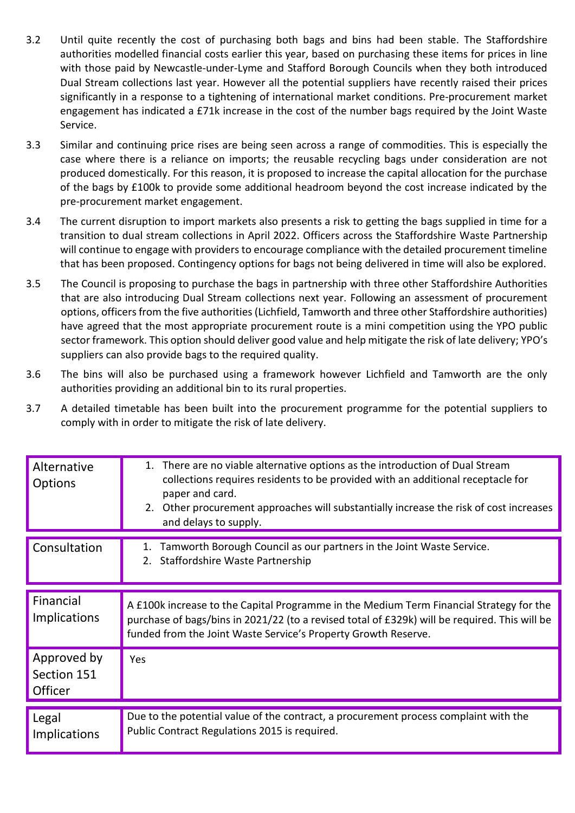- 3.2 Until quite recently the cost of purchasing both bags and bins had been stable. The Staffordshire authorities modelled financial costs earlier this year, based on purchasing these items for prices in line with those paid by Newcastle-under-Lyme and Stafford Borough Councils when they both introduced Dual Stream collections last year. However all the potential suppliers have recently raised their prices significantly in a response to a tightening of international market conditions. Pre-procurement market engagement has indicated a £71k increase in the cost of the number bags required by the Joint Waste Service.
- 3.3 Similar and continuing price rises are being seen across a range of commodities. This is especially the case where there is a reliance on imports; the reusable recycling bags under consideration are not produced domestically. For this reason, it is proposed to increase the capital allocation for the purchase of the bags by £100k to provide some additional headroom beyond the cost increase indicated by the pre-procurement market engagement.
- 3.4 The current disruption to import markets also presents a risk to getting the bags supplied in time for a transition to dual stream collections in April 2022. Officers across the Staffordshire Waste Partnership will continue to engage with providers to encourage compliance with the detailed procurement timeline that has been proposed. Contingency options for bags not being delivered in time will also be explored.
- 3.5 The Council is proposing to purchase the bags in partnership with three other Staffordshire Authorities that are also introducing Dual Stream collections next year. Following an assessment of procurement options, officers from the five authorities (Lichfield, Tamworth and three other Staffordshire authorities) have agreed that the most appropriate procurement route is a mini competition using the YPO public sector framework. This option should deliver good value and help mitigate the risk of late delivery; YPO's suppliers can also provide bags to the required quality.
- 3.6 The bins will also be purchased using a framework however Lichfield and Tamworth are the only authorities providing an additional bin to its rural properties.
- 3.7 A detailed timetable has been built into the procurement programme for the potential suppliers to comply with in order to mitigate the risk of late delivery.

| Alternative<br><b>Options</b>         | 1. There are no viable alternative options as the introduction of Dual Stream<br>collections requires residents to be provided with an additional receptacle for<br>paper and card.<br>2. Other procurement approaches will substantially increase the risk of cost increases<br>and delays to supply. |  |
|---------------------------------------|--------------------------------------------------------------------------------------------------------------------------------------------------------------------------------------------------------------------------------------------------------------------------------------------------------|--|
| Consultation                          | Tamworth Borough Council as our partners in the Joint Waste Service.<br>1.<br>Staffordshire Waste Partnership<br>2.                                                                                                                                                                                    |  |
| Financial<br><b>Implications</b>      | A £100k increase to the Capital Programme in the Medium Term Financial Strategy for the<br>purchase of bags/bins in 2021/22 (to a revised total of £329k) will be required. This will be<br>funded from the Joint Waste Service's Property Growth Reserve.                                             |  |
| Approved by<br>Section 151<br>Officer | Yes                                                                                                                                                                                                                                                                                                    |  |
| Legal<br><b>Implications</b>          | Due to the potential value of the contract, a procurement process complaint with the<br>Public Contract Regulations 2015 is required.                                                                                                                                                                  |  |